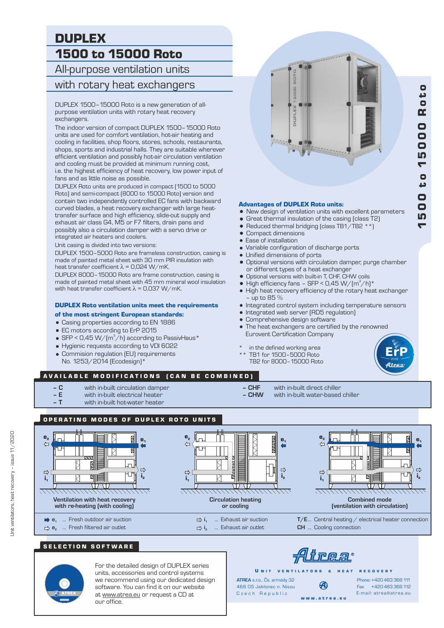# DUPLEX 1500 to 15000 Roto

All-purpose ventilation units

## with rotary heat exchangers

DUPLEX 1500–15000 Roto is a new generation of allpurpose ventilation units with rotary heat recovery exchangers.

The indoor version of compact DUPLEX 1500–15000 Roto units are used for comfort ventilation, hot-air heating and cooling in facilities, shop floors, stores, schools, restaurants, shops, sports and industrial halls. They are suitable wherever efficient ventilation and possibly hot-air circulation ventilation and cooling must be provided at minimum running cost, i.e. the highest efficiency of heat recovery, low power input of fans and as little noise as possible.

DUPLEX Roto units are produced in compact (1500 to 5000 Roto) and semi-compact (8000 to 15000 Roto) version and contain two independently controlled EC fans with backward curved blades, a heat recovery exchanger with large heattransfer surface and high efficiency, slide-out supply and exhaust air class G4, M5 or F7 filters, drain pans and possibly also a circulation damper with a servo drive or integrated air heaters and coolers.

Unit casing is divided into two versions:

DUPLEX 1500–5000 Roto are frameless construction, casing is made of painted metal sheet with 30 mm PIR insulation with heat transfer coefficient  $\lambda$  = 0,024 W/mK.

DUPLEX 8000–15000 Roto are frame construction, casing is made of painted metal sheet with 45 mm mineral wool insulation with heat transfer coefficient  $\lambda$  = 0,037 W/mK.

# **DUPLEX Roto ventilation units meet the requirements**  $\bullet$  Integrated control system including temperature sensors

#### of the most stringent European standards:

- = Casing properties according to EN 1886
- EC motors according to ErP 2015
- SFP < 0,45 W/( $m^3/h$ ) according to PassivHaus\*
- = Hygienic requests according to VDI 6022
- Commision regulation (EU) requirements No. 1253/2014 (Ecodesign)\*

# ğ 2000 **DILIPIL**

#### Advantages of DUPLEX Roto units:

- New design of ventilation units with excellent parameters
- 
- Great thermal insulation of the casing (class T2)<br>• Reduced thermal bridging (class TB1/TB2 \*\*) Reduced thermal bridging (class TB1/TB2  $*$ )
- Compact dimensions
- Ease of installation
- Variable configuration of discharge ports
- Unified dimensions of ports
- = Optional versions with circulation damper, purge chamber or different types of a heat exchanger
- = Optional versions with built-in T, CHF, CHW coils
- $\bullet$  High efficiency fans SFP < 0,45 W/(m<sup>3</sup>/h)\*
- High heat recovery efficiency of the rotary heat exchanger – up to 85 %
- 
- Integrated web server (RD5 regulation)
- Comprehensive design software
- The heat exchangers are certified by the renowned Eurovent Certification Company
- in the defined working area
- TB1 for 1500-5000 Roto TB2 for 8000–15000 Roto



#### AVAILABLE MODIFICATIONS (CAN BE COMBINED)

- **C** with in-built circulation damper
- **E** with in-built electrical heater
- **T** with in-built hot-water heater
- **CHF** with in-built direct chiller
	- with in-built water-based chiller



#### SELECTION SOFTWARE



For the detailed design of DUPLEX series units, accessories and control systems we recommend using our dedicated design software. You can find it on our website at www.atrea.eu or request a CD at our office.

irea

w w w . a t r e a . e u

U N IT VENTILATORS & HEAT RECOVERY

**ATREA** s.r.o., Čs. armády 32 Ð 466 05 Jablonec n. NisouCzech Republic

Fax: +420 483 368 112 Phone: +420 483 368 111 E-mail: atrea@atrea.eu



Unit ventilators, heat recovery – issue 11/2020

Jnit ventilators, heat recovery - issue 11/2020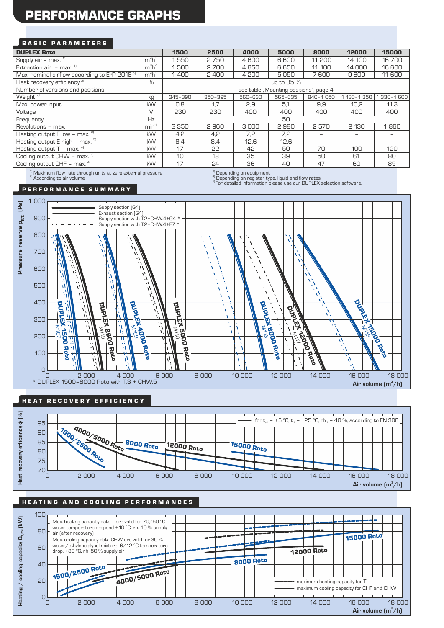# PERFORMANCE GRAPHS

#### **BASIC PARAMETERS**

| <b>DUPLEX Roto</b>                                                                                              |                  | 1500                                   | 2500    | 4000    | 5000    | 8000              | 12000       | 15000             |
|-----------------------------------------------------------------------------------------------------------------|------------------|----------------------------------------|---------|---------|---------|-------------------|-------------|-------------------|
| Supply air - max. $1$                                                                                           | $m3h-1$          | 550                                    | 2750    | 4600    | 6600    | 11 200            | 14 100      | 16700             |
| Extraction air $-$ max. $1$                                                                                     | $m3h-1$          | 500                                    | 2700    | 4650    | 6650    | 11 100            | 14 000      | 16 600            |
| Max. nominal airflow according to ErP 2018 <sup>51</sup>                                                        | $m^3h^1$         | 1400                                   | 2400    | 4 200   | 5050    | 7600              | 9600        | 11 600            |
| Heat recovery efficiency <sup>2)</sup>                                                                          | $\%$             | up to 85 %                             |         |         |         |                   |             |                   |
| Number of versions and positions                                                                                | -                | see table "Mounting positions", page 4 |         |         |         |                   |             |                   |
| Weight <sup>3)</sup>                                                                                            | kg               | 345-390                                | 350-395 | 560-630 | 565-635 | 840-1050          | 1 130-1 350 | 330-1600          |
| Max. power input                                                                                                | kW               | 0,8                                    | 1.7     | 2,9     | 5.1     | 9,9               | 10.2        | 11,3              |
| Voltage                                                                                                         | $\vee$           | 230                                    | 230     | 400     | 400     | 400               | 400         | 400               |
| Frequency                                                                                                       | Hz               |                                        |         |         | 50      |                   |             |                   |
| Revolutions - max.                                                                                              | min <sup>1</sup> | 3 3 5 0                                | 2960    | 3000    | 2980    | 2570              | 2 130       | 1860              |
| Heating output $E$ low - max. $5$                                                                               | <b>kW</b>        | 4,2                                    | 4,2     | 7,2     | 7,2     |                   |             |                   |
| Heating output $E$ high - max. $5$                                                                              | kW               | 8,4                                    | 8,4     | 12,6    | 12,6    | $\qquad \qquad -$ |             | $\qquad \qquad -$ |
| Heating output $T - \text{max.}$ <sup>4)</sup>                                                                  | kW               | 17                                     | 55      | 42      | 50      | 70                | 100         | 120               |
| Cooling output CHW - max. 4)                                                                                    | <b>kW</b>        | 10                                     | 18      | 35      | 39      | 50                | 61          | 80                |
| Cooling output CHF - max. 4)                                                                                    | kW               | 17                                     | 24      | 36      | 40      | 47                | 60          | 85                |
| the contract of the contract of the contract of the contract of the contract of the contract of the contract of |                  |                                        | $21 -$  |         |         |                   |             |                   |

 $^{1)}$  Maximum flow rate through units at zero external pressure<br><sup>a)</sup> According to air volume

 $\sigma^{\rm (3)}_{\rm (1)}$  Depending on equipment<br> $\sigma^{\rm (4)}_{\rm (2)}$  Depending on register type, liquid and flow rates

<sup>5)</sup> For detailed information please use our DUPLEX selection software.

#### P E R F O R M A N C E S U M M A R Y



#### HE AT RECOVERY EFFICIENCY



#### HEATING AND COOLING PERFORMANCES

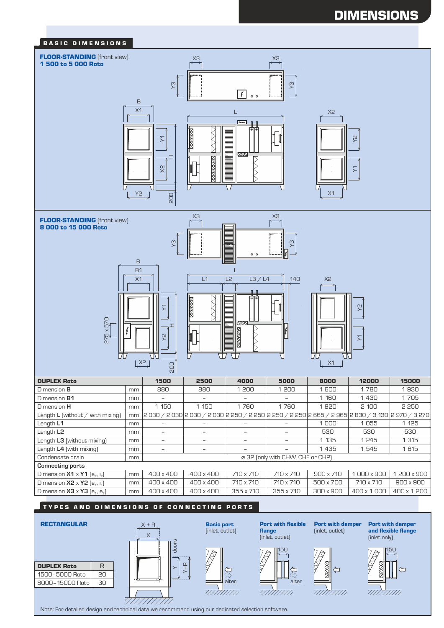# **DIMENSIONS**



(inlet, outlet)

S

गागेगाग

Port with flexible

Port with damper (inlet, outlet)

 $150$   $7 \times 1$   $7 \times 1150$ 

गागागा।

Port with damper and flexible flange<br>(inlet only)

7777777777

flange

alter. **alter** alter

गागागा।



Note: For detailed design and technical data we recommend using our dedicated selection software.

Y+R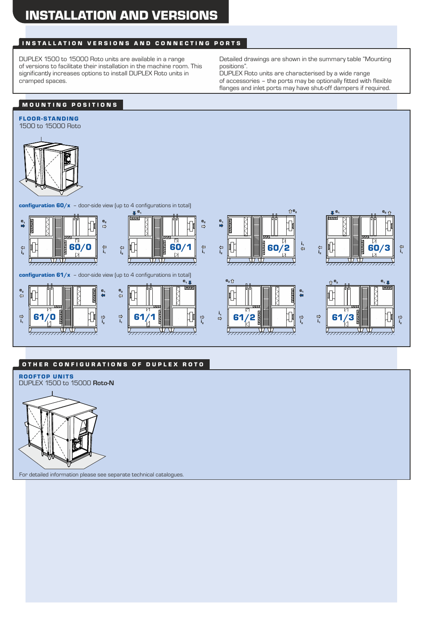### INSTALLATION VERSIONS AND CONNECTING PORTS

DUPLEX 1500 to 15000 Roto units are available in a range of versions to facilitate their installation in the machine room. This significantly increases options to install DUPLEX Roto units in cramped spaces.

Detailed drawings are shown in the summary table "Mounting positions".

DUPLEX Roto units are characterised by a wide range of accessories – the ports may be optionally fitted with flexible flanges and inlet ports may have shut-off dampers if required.

## MOUNTING POSITIONS



#### OTHER CONFIGURATIONS OF DUPLEX ROTO

ROOFTOP UNITS



For detailed information please see separate technical catalogues.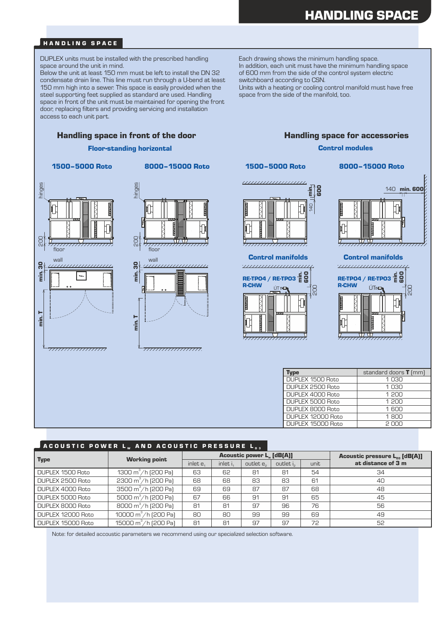# HANDLING SPACE

#### HANDLING SPACE

DUPLEX units must be installed with the prescribed handling space around the unit in mind.

Below the unit at least 150 mm must be left to install the DN 32 condensate drain line. This line must run through a U-bend at least 150 mm high into a sewer. This space is easily provided when the steel supporting feet supplied as standard are used. Handling space in front of the unit must be maintained for opening the front door, replacing filters and providing servicing and installation access to each unit part.

Each drawing shows the minimum handling space. In addition, each unit must have the minimum handling space of 600 mm from the side of the control system electric switchboard according to CSN.

Units with a heating or cooling control manifold must have free space from the side of the manifold, too.

#### Handling space in front of the door **Handling space for accessories**

#### Floor-standing horizontal

1500–5000 Roto 8000–15000 Roto



777777777777777777



min.

<del>77777777777777777777</del>



1500–5000 Roto

Control manifolds



140 **min. 600** 

8000–15000 Roto

Control modules

Control manifolds ,,,,,,,,,,,,,,,,,,,,,, RE-TPO4 / RE-TPO3  $\frac{1}{2}$   $\frac{1}{6}$   $\frac{1}{6}$ R-CHW ÚT≄**⊏** 20<br>20 <del>7,,,,,,,,,,,,,,,,,,,,</del>

| vpe               | standard doors <b>T</b> (mm) |
|-------------------|------------------------------|
| DUPLEX 1500 Roto  | 1030                         |
| DUPLEX 2500 Roto  | 1 $\cap$ 30                  |
| DUPLEX 4000 Roto  | 1 200                        |
| DUPLEX 5000 Roto  | 1 200                        |
| DUPLEX 8000 Roto  | $1$ 600                      |
| DUPLEX 12000 Roto | 1 $R0$                       |
| DUPLEX 15000 Roto | s uuu                        |

#### ACOUSTIC POWER LW AND ACOUSTIC PRESSURE L

| <b>Type</b>       | <b>Working point</b>                 |          |          | <b>Acoustic power L. [dB(A)]</b> | Acoustic pressure $L_{n3}$ [dB(A)] |      |                    |
|-------------------|--------------------------------------|----------|----------|----------------------------------|------------------------------------|------|--------------------|
|                   |                                      | inlet e. | inlet i. | outlet e <sub>2</sub>            | outlet i <sub>2</sub>              | unit | at distance of 3 m |
| DUPLEX 1500 Roto  | 1300 m <sup>3</sup> /h (200 Pa)      | 63       | 62       | 81                               | 81                                 | 54   | 34                 |
| DUPLEX 2500 Roto  | 2300 $m^3/h$ (200 Pa)                | 68       | 68       | 83                               | 83                                 | 61   | 40                 |
| DUPLEX 4000 Roto  | 3500 $m^3/h$ [200 Pa]                | 69       | 69       | 87                               | 87                                 | 68   | 48                 |
| DUPLEX 5000 Roto  | 5000 $m^3/h$ (200 Pa)                | 67       | 66       | 91                               | 91                                 | 65   | 45                 |
| DUPLEX 8000 Roto  | 8000 m <sup>3</sup> /h (200 Pa)      | 81       | 81       | 97                               | 96                                 | 76   | 56                 |
| DUPLEX 12000 Roto | 10000 m <sup>3</sup> /h (200 Pa)     | 80       | 80       | 99                               | 99                                 | 69   | 49                 |
| DUPLEX 15000 Roto | 15000 $\text{m}^3/\text{h}$ (200 Pa) | 81       | 81       | 97                               | 97                                 | 72   | 52                 |

Note: for detailed accoustic parameters we recommend using our specialized selection software.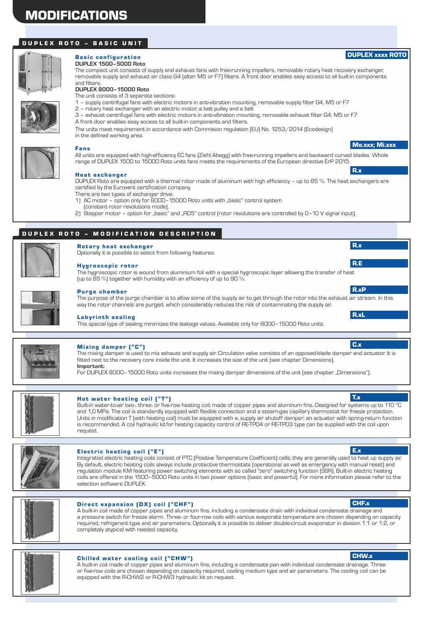# MODIFICATIONS

#### DUPLEX ROTO - BASIC UNIT



#### **Basic configuration DUPLEX 1500–5000 Roto**

The compact unit consists of supply and exhaust fans with free-running impellers, removable rotary heat recovery exchanger, removable supply and exhaust air class G4 (alter. M5 or F7) filters. A front door enables easy access to all built-in components and filters.

#### **DUPLEX 8000–15000 Roto**

The unit consists of 3 separate sections:

- 1 supply centrifugal fans with electric motors in anti-vibration mounting, removable supply filter G4, M5 or F7
- 2 rotary heat exchanger with an electric motor, a belt pulley and a belt
- A front door enables easy access to all built-in components and filters. 3 – exhaust centrifugal fans with electric motors in anti-vibration mounting, removable exhaust filter G4, M5 or F7
- The units meet requirement in accordance with Commision regulation (EU) No. 1253/2014 (Ecodesign) in the defined working area.



#### Fans

All units are equipped with high-efficiency EC fans (Ziehl Abegg) with free-running impellers and backward curved blades. Whole range of DUPLEX 1500 to 15000 Roto units fans meets the requirements of the European directive ErP 2015.

#### Heat exchanger

There are two types of exchanger drive: DUPLEX Roto are equipped with a thermal rotor made of aluminum with high efficiency – up to 85 %. The heat exchangers are certified by the Eurovent certification company.

- 
- 1) AC motor option only for 8000-15000 Roto units with "basic" control system (constant rotor revolutions mode).

(up to 85 %) together with humidity with an efficiency of up to 90 %.

Optionally it is possible to select from following features:

2) Stepper motor - option for "basic" and "RD5" control (rotor revolutions are controlled by 0-10 V signal input).

#### DUPLEX ROTO - MODIFICATION DESCRIPTION



## Purge chamber

Hygroscopic rotor

**Rotary heat exchanger** 

The purpose of the purge chamber is to allow some of the supply air to get through the rotor into the exhaust air stream. In this way the rotor channels are purged, which considerably reduces the risk of contaminating the supply air.

The hygroscopic rotor is wound from aluminium foil with a special hygroscopic layer allowing the transfer of heat

#### **Labyrinth sealing**

This special type of sealing minimizes the leakage values. Available only for 8000–15000 Roto units.



#### Mixing damper ("C")

The mixing damper is used to mix exhaust and supply air. Circulation valve consists of an opposed-blade damper and actuator. It is fitted next to the recovery core inside the unit. It increases the size of the unit (see chapter Dimensions). **Important:**

For DUPLEX 8000–15000 Roto units increases the mixing damper dimensions of the unit (see chapter "Dimensions").



#### Hot water heating coil ("T") The state of the state of the state of the state of the state of the state of the state of the state of the state of the state of the state of the state of the state of the state of the state o

Built-in water-to-air two-, three- or five-row heating coil; made of copper pipes and aluminum fins. Designed for systems up to 110 °C and 1,0 MPa. The coil is standardly equipped with flexible connection and a steam-gas capillary thermostat for freeze protection. Units in modification T (with heating coil) must be equipped with  $e_1$ supply air shutoff damper; an actuator with spring-return function is recommended. A coil hydraulic kitfor heating capacity control of RE-TPO4 or RE-TPO3 type can be supplied with the coil upon request.



#### Electric heating coil ("E")

Integrated electric heating coils consist of PTC (Positive Temperature Coefficient) cells; they are generally used to heat up supply air. By default, electric heating coils always include protective thermostats (operational as well as emergency with manual reset) and regulation module KM featuring power switching elements with so called "zero" switching function (SSR). Built-in electric heating coils are offered in the 1500–5000 Roto units in two power options (basic and powerful). For more information please refer to the selection software DUPLEX.



#### Direct expansion (DX) coil ("CHF")

A built-in coil made of copper pipes and aluminum fins, including a condensate drain with individual condensate drainage and a pressure switch for freeze alarm. Three- or four-row coils with various evaporate temperature are chosen depending on capacity required, refrigerant type and air parameters. Optionally it is possible to deliver double-circuit evaporator in division 1:1 or 1:2, or completely atypical with needed capacity.



#### Chilled water cooling coil ("CHW")

A built-in coil made of copper pipes and aluminum fins, including a condensate pan with individual condensate drainage. Threeor five-row coils are chosen depending on capacity required, cooling medium type and air parameters. The cooling coil can be equipped with the R-CHW2 or R-CHW3 hydraulic kit on request.

#### E.x

Me.xxx; Mi.xxx

DUPLEX xxxx ROTO

R.x

R.x

R.E

R.xP

R.xL

C.x



CHW.x

CHF.x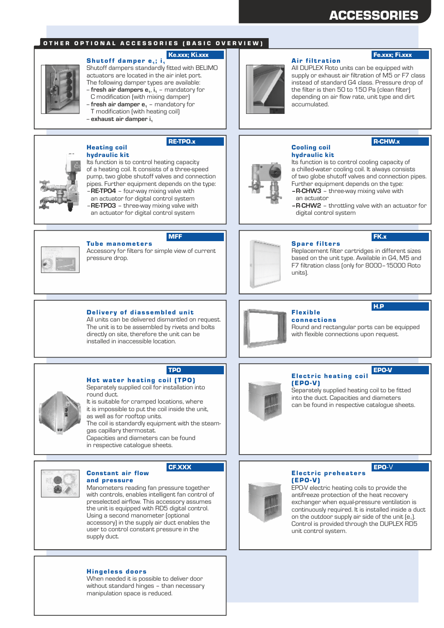# ACCESSORIES

Fe.xxx; Fi.xxx

R-CHW.x

#### OTHER OPTIONAL ACCESSORIES (BASIC OVERVIEW)

#### Shutoff damper  $e_1$ ; i<sub>1</sub> Ke.xxx; Ki.xxx

Shutoff dampers standardly fitted with BELIMO actuators are located in the air inlet port. The following damper types are available:

- -- **fresh air dampers e** , **i** mandatory for **<sup>1</sup> <sup>1</sup>** C modification (with mixing damper)
- -- **fresh air damper e** mandatory for **<sup>1</sup>**

Its function is to control heating capacity of a heating coil. It consists of a three-speed pump, two globe shutoff valves and connection pipes. Further equipment depends on the type:

- T modification (with heating coil)
- -- **exhaust air damper i<sup>1</sup>**

hydraulic kit

Heating coil

#### RE-TPO.x

#### hydraulic kit Cooling coil

accumulated.

**Air filtration** 

Its function is to control cooling capacity of a chilled-water cooling coil. It always consists of two globe shutoff valves and connection pipes. Further equipment depends on the type: **– R-CHW3** – three-way mixing valve with

All DUPLEX Roto units can be equipped with supply or exhaust air filtration of M5 or F7 class instead of standard G4 class. Pressure drop of the filter is then 50 to 150 Pa (clean filter) depending on air flow rate, unit type and dirt

- an actuator
- **R**-**CHW2** throttling valve with an actuator for digital control system

FK.x



**Tube manometers** MFF

Delivery of diassembled unit All units can be delivered dismantled on request. The unit is to be assembled by rivets and bolts directly on site, therefore the unit can be installed in inaccessible location.

– **RE-TPO3** – three-way mixing valve with an actuator for digital control system

– **RE-TPO4** – four-way mixing valve with an actuator for digital control system

Accessory for filters for simple view of current pressure drop.



#### **Spare filters**

Replacement filter cartridges in different sizes based on the unit type. Available in G4, M5 and F7 filtration class (only for 8000–15000 Roto units).



#### Flex ible **connections**

Round and rectangular ports can be equipped with flexible connections upon request.



#### **Electric heating coil** EPO-V

(EPO-V) Separately supplied heating coil to be fitted into the duct. Capacities and diameters can be found in respective catalogue sheets.



TPO

Hot water heating coil (TPO) Separately supplied coil for installation into

It is suitable for cramped locations, where it is impossible to put the coil inside the unit, as well as for rooftop units. round duct. The coil is standardly equipment with the steamgas capillary thermostat.

Capacities and diameters can be found in respective catalogue sheets.



#### CF.XXX

Manometers reading fan pressure together with controls, enables intelligent fan control of preselected airflow. This accessory assumes the unit is equipped with RD5 digital control. Using a second manometer (optional accessory) in the supply air duct enables the user to control constant pressure in the supply duct. and pressure

#### **Hingeless doors**

Constant air flow

When needed it is possible to deliver door without standard hinges – than necessary manipulation space is reduced.

#### EPO-V

(EPO-V) EPO-V electric heating coils to provide the antifreeze protection of the heat recovery exchanger when equal-pressure ventilation is continuously required. It is installed inside a duct on the outdoor supply air side of the unit  $[e_1]$ . Control is provided through the DUPLEX RD5 unit control system.

Electric preheaters